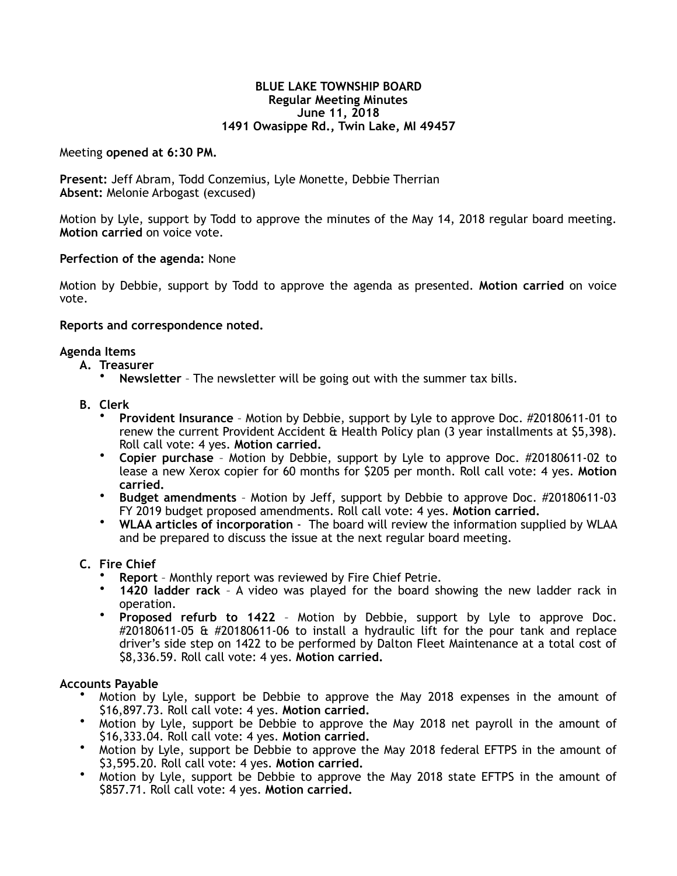### **BLUE LAKE TOWNSHIP BOARD Regular Meeting Minutes June 11, 2018 1491 Owasippe Rd., Twin Lake, MI 49457**

Meeting **opened at 6:30 PM.** 

**Present:** Jeff Abram, Todd Conzemius, Lyle Monette, Debbie Therrian **Absent:** Melonie Arbogast (excused)

Motion by Lyle, support by Todd to approve the minutes of the May 14, 2018 regular board meeting. **Motion carried** on voice vote.

# **Perfection of the agenda:** None

Motion by Debbie, support by Todd to approve the agenda as presented. **Motion carried** on voice vote.

## **Reports and correspondence noted.**

## **Agenda Items**

- **A. Treasurer** 
	- **Newsletter** The newsletter will be going out with the summer tax bills.
- **B. Clerk** 
	- **Provident Insurance** Motion by Debbie, support by Lyle to approve Doc. #20180611-01 to renew the current Provident Accident & Health Policy plan (3 year installments at \$5,398). Roll call vote: 4 yes. **Motion carried.**
	- **Copier purchase** Motion by Debbie, support by Lyle to approve Doc. #20180611-02 to lease a new Xerox copier for 60 months for \$205 per month. Roll call vote: 4 yes. **Motion carried.**
	- **Budget amendments**  Motion by Jeff, support by Debbie to approve Doc. #20180611-03 FY 2019 budget proposed amendments. Roll call vote: 4 yes. **Motion carried.**
	- **WLAA articles of incorporation**  The board will review the information supplied by WLAA and be prepared to discuss the issue at the next regular board meeting.

## **C. Fire Chief**

- **Report**  Monthly report was reviewed by Fire Chief Petrie.
- **1420 ladder rack**  A video was played for the board showing the new ladder rack in operation.
- **Proposed refurb to 1422** Motion by Debbie, support by Lyle to approve Doc. #20180611-05 & #20180611-06 to install a hydraulic lift for the pour tank and replace driver's side step on 1422 to be performed by Dalton Fleet Maintenance at a total cost of \$8,336.59. Roll call vote: 4 yes. **Motion carried.**

## **Accounts Payable**

- Motion by Lyle, support be Debbie to approve the May 2018 expenses in the amount of \$16,897.73. Roll call vote: 4 yes. **Motion carried.**
- Motion by Lyle, support be Debbie to approve the May 2018 net payroll in the amount of \$16,333.04. Roll call vote: 4 yes. **Motion carried.**
- Motion by Lyle, support be Debbie to approve the May 2018 federal EFTPS in the amount of \$3,595.20. Roll call vote: 4 yes. **Motion carried.**
- Motion by Lyle, support be Debbie to approve the May 2018 state EFTPS in the amount of \$857.71. Roll call vote: 4 yes. **Motion carried.**